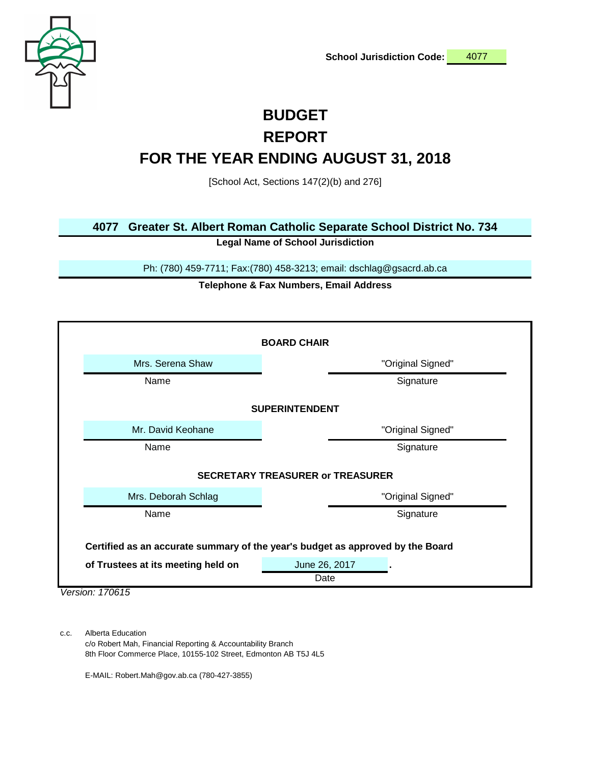

# **BUDGET REPORT**

# **FOR THE YEAR ENDING AUGUST 31, 2018**

[School Act, Sections 147(2)(b) and 276]

### **4077 Greater St. Albert Roman Catholic Separate School District No. 734**

**Legal Name of School Jurisdiction**

Ph: (780) 459-7711; Fax:(780) 458-3213; email: dschlag@gsacrd.ab.ca

### **Telephone & Fax Numbers, Email Address**

| <b>BOARD CHAIR</b>                                                             |                       |  |  |  |  |  |
|--------------------------------------------------------------------------------|-----------------------|--|--|--|--|--|
| Mrs. Serena Shaw                                                               | "Original Signed"     |  |  |  |  |  |
| Name                                                                           | Signature             |  |  |  |  |  |
| <b>SUPERINTENDENT</b>                                                          |                       |  |  |  |  |  |
| Mr. David Keohane                                                              | "Original Signed"     |  |  |  |  |  |
| Name                                                                           | Signature             |  |  |  |  |  |
| <b>SECRETARY TREASURER or TREASURER</b>                                        |                       |  |  |  |  |  |
| Mrs. Deborah Schlag                                                            | "Original Signed"     |  |  |  |  |  |
| Name                                                                           | Signature             |  |  |  |  |  |
| Certified as an accurate summary of the year's budget as approved by the Board |                       |  |  |  |  |  |
| of Trustees at its meeting held on                                             | June 26, 2017<br>Date |  |  |  |  |  |

*Version: 170615*

c.c. Alberta Education

c/o Robert Mah, Financial Reporting & Accountability Branch 8th Floor Commerce Place, 10155-102 Street, Edmonton AB T5J 4L5

E-MAIL: Robert.Mah@gov.ab.ca (780-427-3855)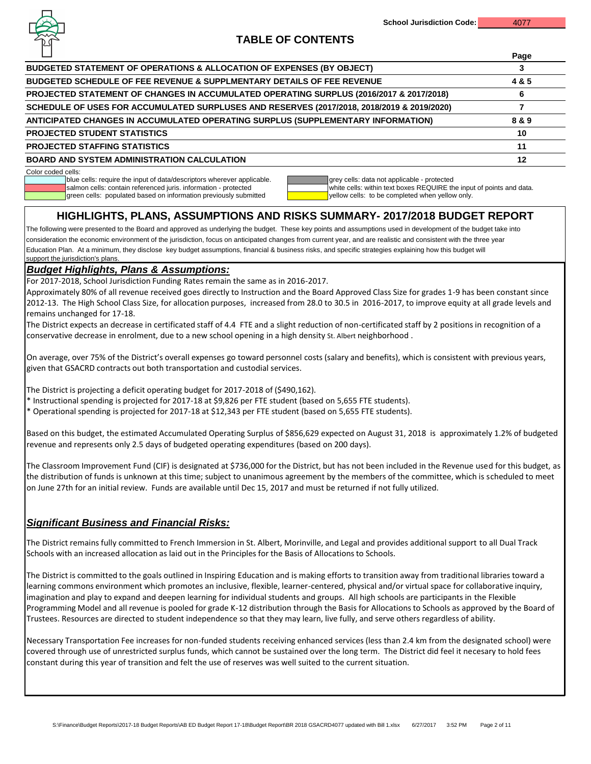

**Page**

# **TABLE OF CONTENTS**

|                                                                                            | raye  |
|--------------------------------------------------------------------------------------------|-------|
| BUDGETED STATEMENT OF OPERATIONS & ALLOCATION OF EXPENSES (BY OBJECT)                      |       |
| <b>BUDGETED SCHEDULE OF FEE REVENUE &amp; SUPPLMENTARY DETAILS OF FEE REVENUE</b>          | 4 & 5 |
| PROJECTED STATEMENT OF CHANGES IN ACCUMULATED OPERATING SURPLUS (2016/2017 & 2017/2018)    |       |
| SCHEDULE OF USES FOR ACCUMULATED SURPLUSES AND RESERVES (2017/2018, 2018/2019 & 2019/2020) |       |
| ANTICIPATED CHANGES IN ACCUMULATED OPERATING SURPLUS (SUPPLEMENTARY INFORMATION)           | 8 & 9 |
| <b>PROJECTED STUDENT STATISTICS</b>                                                        | 10    |
| <b>PROJECTED STAFFING STATISTICS</b>                                                       | 11    |
| <b>BOARD AND SYSTEM ADMINISTRATION CALCULATION</b>                                         | 12    |

Color coded cells:

blue cells: require the input of data/descriptors wherever applicable.<br>
salmon cells: contain referenced juris. information - protected<br>
white cells: within text boxes REQUIRE th

green cells: populated based on information previously submitted

| ∥grey cells |
|-------------|
| white cells |
| yellow cel  |

ls: within text boxes REQUIRE the input of points and data.<br>Ills: to be completed when yellow only.

# **HIGHLIGHTS, PLANS, ASSUMPTIONS AND RISKS SUMMARY- 2017/2018 BUDGET REPORT**

Education Plan. At a minimum, they disclose key budget assumptions, financial & business risks, and specific strategies explaining how this budget will support the jurisdiction's plans. The following were presented to the Board and approved as underlying the budget. These key points and assumptions used in development of the budget take into consideration the economic environment of the jurisdiction, focus on anticipated changes from current year, and are realistic and consistent with the three year

## *Budget Highlights, Plans & Assumptions:*

For 2017-2018, School Jurisdiction Funding Rates remain the same as in 2016-2017.

Approximately 80% of all revenue received goes directly to Instruction and the Board Approved Class Size for grades 1-9 has been constant since 2012-13. The High School Class Size, for allocation purposes, increased from 28.0 to 30.5 in 2016-2017, to improve equity at all grade levels and remains unchanged for 17-18.

The District expects an decrease in certificated staff of 4.4 FTE and a slight reduction of non-certificated staff by 2 positions in recognition of a conservative decrease in enrolment, due to a new school opening in a high density St. Albert neighborhood .

On average, over 75% of the District's overall expenses go toward personnel costs (salary and benefits), which is consistent with previous years, given that GSACRD contracts out both transportation and custodial services.

The District is projecting a deficit operating budget for 2017-2018 of (\$490,162).

\* Instructional spending is projected for 2017-18 at \$9,826 per FTE student (based on 5,655 FTE students).

\* Operational spending is projected for 2017-18 at \$12,343 per FTE student (based on 5,655 FTE students).

Based on this budget, the estimated Accumulated Operating Surplus of \$856,629 expected on August 31, 2018 is approximately 1.2% of budgeted revenue and represents only 2.5 days of budgeted operating expenditures (based on 200 days).

The Classroom Improvement Fund (CIF) is designated at \$736,000 for the District, but has not been included in the Revenue used for this budget, as the distribution of funds is unknown at this time; subject to unanimous agreement by the members of the committee, which is scheduled to meet on June 27th for an initial review. Funds are available until Dec 15, 2017 and must be returned if not fully utilized.

## *Significant Business and Financial Risks:*

The District remains fully committed to French Immersion in St. Albert, Morinville, and Legal and provides additional support to all Dual Track Schools with an increased allocation as laid out in the Principles for the Basis of Allocations to Schools.

The District is committed to the goals outlined in Inspiring Education and is making efforts to transition away from traditional libraries toward a learning commons environment which promotes an inclusive, flexible, learner-centered, physical and/or virtual space for collaborative inquiry, imagination and play to expand and deepen learning for individual students and groups. All high schools are participants in the Flexible Programming Model and all revenue is pooled for grade K-12 distribution through the Basis for Allocations to Schools as approved by the Board of Trustees. Resources are directed to student independence so that they may learn, live fully, and serve others regardless of ability.

Necessary Transportation Fee increases for non-funded students receiving enhanced services (less than 2.4 km from the designated school) were covered through use of unrestricted surplus funds, which cannot be sustained over the long term. The District did feel it necesary to hold fees constant during this year of transition and felt the use of reserves was well suited to the current situation.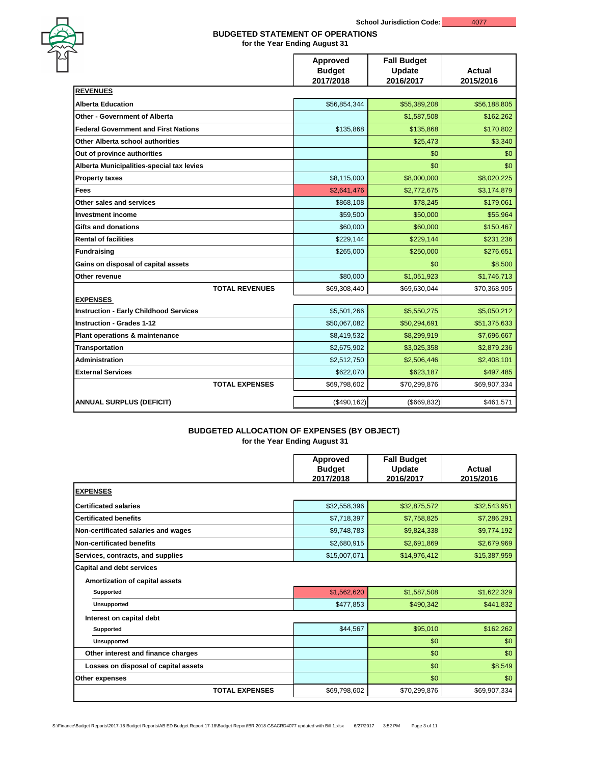|                                               | <b>Approved</b><br><b>Budget</b><br>2017/2018 | <b>Fall Budget</b><br><b>Update</b><br>2016/2017 | <b>Actual</b><br>2015/2016 |
|-----------------------------------------------|-----------------------------------------------|--------------------------------------------------|----------------------------|
| <b>REVENUES</b>                               |                                               |                                                  |                            |
| <b>Alberta Education</b>                      | \$56,854,344                                  | \$55,389,208                                     | \$56,188,805               |
| <b>Other - Government of Alberta</b>          |                                               | \$1,587,508                                      | \$162,262                  |
| <b>Federal Government and First Nations</b>   | \$135,868                                     | \$135,868                                        | \$170,802                  |
| <b>Other Alberta school authorities</b>       |                                               | \$25,473                                         | \$3,340                    |
| Out of province authorities                   |                                               | \$0                                              | \$0                        |
| Alberta Municipalities-special tax levies     |                                               | \$0                                              | \$0                        |
| <b>Property taxes</b>                         | \$8,115,000                                   | \$8,000,000                                      | \$8,020,225                |
| <b>Fees</b>                                   | \$2,641,476                                   | \$2,772,675                                      | \$3,174,879                |
| <b>Other sales and services</b>               | \$868,108                                     | \$78,245                                         | \$179,061                  |
| <b>Investment income</b>                      | \$59,500                                      | \$50,000                                         | \$55,964                   |
| <b>Gifts and donations</b>                    | \$60,000                                      | \$60,000                                         | \$150,467                  |
| <b>Rental of facilities</b>                   | \$229,144                                     | \$229,144                                        | \$231,236                  |
| <b>Fundraising</b>                            | \$265,000                                     | \$250,000                                        | \$276,651                  |
| Gains on disposal of capital assets           |                                               | \$0                                              | \$8,500                    |
| Other revenue                                 | \$80,000                                      | \$1,051,923                                      | \$1,746,713                |
| <b>TOTAL REVENUES</b>                         | \$69,308,440                                  | \$69,630,044                                     | \$70,368,905               |
| <b>EXPENSES</b>                               |                                               |                                                  |                            |
| <b>Instruction - Early Childhood Services</b> | \$5,501,266                                   | \$5,550,275                                      | \$5,050,212                |
| <b>Instruction - Grades 1-12</b>              | \$50,067,082                                  | \$50,294,691                                     | \$51,375,633               |
| <b>Plant operations &amp; maintenance</b>     | \$8,419,532                                   | \$8,299,919                                      | \$7,696,667                |
| <b>Transportation</b>                         | \$2,675,902                                   | \$3,025,358                                      | \$2,879,236                |
| <b>Administration</b>                         | \$2,512,750                                   | \$2,506,446                                      | \$2,408,101                |
| <b>External Services</b>                      | \$622,070                                     | \$623,187                                        | \$497,485                  |
| <b>TOTAL EXPENSES</b>                         | \$69,798,602                                  | \$70,299,876                                     | \$69,907,334               |
| <b>ANNUAL SURPLUS (DEFICIT)</b>               | (\$490,162)                                   | $($ \$669,832) $ $                               | \$461,571                  |

# **BUDGETED ALLOCATION OF EXPENSES (BY OBJECT)**

|                                                                           | <b>Approved</b><br><b>Budget</b><br>2017/2018 | <b>Fall Budget</b><br><b>Update</b><br>2016/2017 | <b>Actual</b><br>2015/2016 |
|---------------------------------------------------------------------------|-----------------------------------------------|--------------------------------------------------|----------------------------|
| <b>EXPENSES</b>                                                           |                                               |                                                  |                            |
| <b>Certificated salaries</b>                                              | \$32,558,396                                  | \$32,875,572                                     | \$32,543,951               |
| <b>Certificated benefits</b>                                              | \$7,718,397                                   | \$7,758,825                                      | \$7,286,291                |
| Non-certificated salaries and wages                                       | \$9,748,783                                   | \$9,824,338                                      | \$9,774,192                |
| Non-certificated benefits                                                 | \$2,680,915                                   | \$2,691,869                                      | \$2,679,969                |
| Services, contracts, and supplies                                         | \$15,007,071                                  | \$14,976,412                                     | \$15,387,959               |
| <b>Capital and debt services</b><br><b>Amortization of capital assets</b> |                                               |                                                  |                            |
| <b>Supported</b>                                                          | \$1,562,620                                   | \$1,587,508                                      | \$1,622,329                |
| <b>Unsupported</b>                                                        | \$477,853                                     | \$490,342                                        | \$441,832                  |
| Interest on capital debt                                                  |                                               |                                                  |                            |
| <b>Supported</b>                                                          | \$44,567                                      | \$95,010                                         | \$162,262                  |
| <b>Unsupported</b>                                                        |                                               | \$0                                              | \$0                        |
| Other interest and finance charges                                        |                                               | \$0                                              | \$0                        |
| Losses on disposal of capital assets                                      |                                               | \$0                                              | \$8,549                    |
| <b>Other expenses</b>                                                     |                                               | \$0                                              | \$0                        |
| <b>TOTAL EXPENSES</b>                                                     | \$69,798,602                                  | \$70,299,876                                     | \$69,907,334               |



## **BUDGETED STATEMENT OF OPERATIONS**

**for the Year Ending August 31**

**for the Year Ending August 31**

S:\Finance\Budget Reports\2017-18 Budget Reports\AB ED Budget Report 17-18\Budget Report\BR 2018 GSACRD4077 updated with Bill 1.xlsx 6/27/2017 3:52 PM Page 3 of 11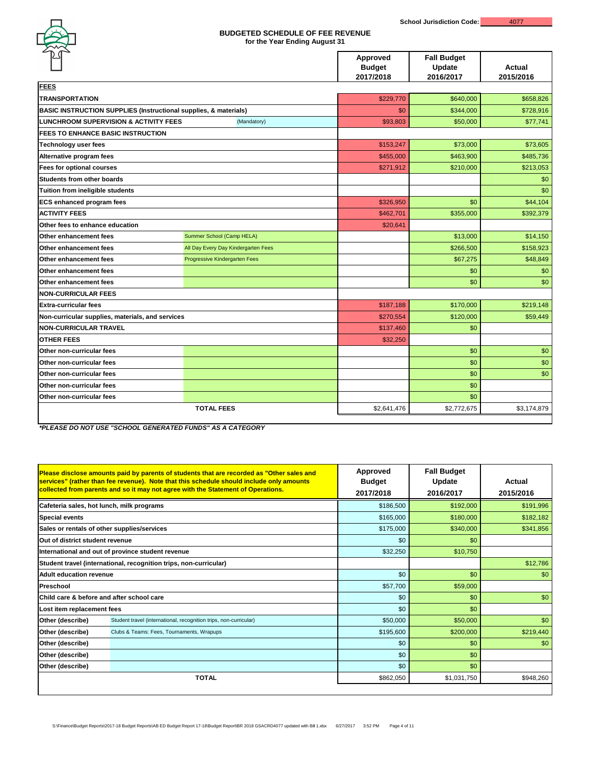|                                                                             |                                     | <b>Approved</b><br><b>Budget</b><br>2017/2018 | <b>Fall Budget</b><br><b>Update</b><br>2016/2017 | <b>Actual</b><br>2015/2016 |  |
|-----------------------------------------------------------------------------|-------------------------------------|-----------------------------------------------|--------------------------------------------------|----------------------------|--|
| <b>FEES</b>                                                                 |                                     |                                               |                                                  |                            |  |
| <b>TRANSPORTATION</b>                                                       |                                     | \$229,770                                     | \$640,000<br>\$658,826                           |                            |  |
| <b>BASIC INSTRUCTION SUPPLIES (Instructional supplies, &amp; materials)</b> |                                     | \$0                                           | \$344,000                                        | \$728,916                  |  |
| <b>LUNCHROOM SUPERVISION &amp; ACTIVITY FEES</b>                            | (Mandatory)                         | \$93,803                                      | \$50,000                                         | \$77,741                   |  |
| <b>FEES TO ENHANCE BASIC INSTRUCTION</b>                                    |                                     |                                               |                                                  |                            |  |
| <b>Technology user fees</b>                                                 |                                     | \$153,247                                     | \$73,000                                         | \$73,605                   |  |
| Alternative program fees                                                    |                                     | \$455,000                                     | \$463,900                                        | \$485,736                  |  |
| <b>Fees for optional courses</b>                                            |                                     | \$271,912                                     | \$210,000                                        | \$213,053                  |  |
| <b>Students from other boards</b>                                           |                                     |                                               |                                                  | \$0                        |  |
| Tuition from ineligible students                                            |                                     |                                               |                                                  | \$0                        |  |
| <b>ECS enhanced program fees</b>                                            |                                     | \$326,950                                     | \$0                                              | \$44,104                   |  |
| <b>ACTIVITY FEES</b>                                                        |                                     | \$462,701                                     | \$355,000                                        | \$392,379                  |  |
| Other fees to enhance education                                             |                                     | \$20,641                                      |                                                  |                            |  |
| <b>Other enhancement fees</b>                                               | Summer School (Camp HELA)           |                                               | \$13,000                                         | \$14,150                   |  |
| <b>Other enhancement fees</b>                                               | All Day Every Day Kindergarten Fees |                                               | \$266,500                                        | \$158,923                  |  |
| <b>Other enhancement fees</b>                                               | Progressive Kindergarten Fees       |                                               | \$67,275                                         | \$48,849                   |  |
| <b>Other enhancement fees</b>                                               |                                     |                                               | \$0                                              | \$0                        |  |
| <b>Other enhancement fees</b>                                               |                                     |                                               | \$0                                              | \$0                        |  |
| <b>NON-CURRICULAR FEES</b>                                                  |                                     |                                               |                                                  |                            |  |
| <b>Extra-curricular fees</b>                                                |                                     | \$187,188                                     | \$170,000                                        | \$219,148                  |  |
| Non-curricular supplies, materials, and services                            |                                     | \$270,554                                     | \$120,000                                        | \$59,449                   |  |
| <b>NON-CURRICULAR TRAVEL</b>                                                |                                     | \$137,460                                     | \$0                                              |                            |  |
| <b>OTHER FEES</b>                                                           |                                     | \$32,250                                      |                                                  |                            |  |
| <b>Other non-curricular fees</b>                                            |                                     |                                               | \$0                                              | \$0                        |  |
| <b>Other non-curricular fees</b>                                            |                                     |                                               | \$0                                              | \$0                        |  |
| <b>Other non-curricular fees</b>                                            |                                     |                                               | \$0                                              | \$0                        |  |
| <b>Other non-curricular fees</b>                                            |                                     |                                               | \$0                                              |                            |  |
| <b>Other non-curricular fees</b>                                            |                                     |                                               | \$0                                              |                            |  |
|                                                                             | <b>TOTAL FEES</b>                   | \$2,641,476                                   | \$2,772,675                                      | \$3,174,879                |  |

|                                 | Please disclose amounts paid by parents of students that are recorded as "Other sales and<br>services" (rather than fee revenue). Note that this schedule should include only amounts<br>collected from parents and so it may not agree with the Statement of Operations. | <b>Approved</b><br><b>Budget</b><br>2017/2018 | <b>Fall Budget</b><br><b>Update</b><br>2016/2017 | <b>Actual</b><br>2015/2016 |
|---------------------------------|---------------------------------------------------------------------------------------------------------------------------------------------------------------------------------------------------------------------------------------------------------------------------|-----------------------------------------------|--------------------------------------------------|----------------------------|
|                                 | Cafeteria sales, hot lunch, milk programs                                                                                                                                                                                                                                 | \$186,500                                     | \$192,000                                        | \$191,996                  |
| <b>Special events</b>           |                                                                                                                                                                                                                                                                           | \$165,000                                     | \$180,000                                        | \$182,182                  |
|                                 | Sales or rentals of other supplies/services                                                                                                                                                                                                                               | \$175,000                                     | \$340,000                                        | \$341,856                  |
| Out of district student revenue |                                                                                                                                                                                                                                                                           | \$0                                           | \$0                                              |                            |
|                                 | International and out of province student revenue                                                                                                                                                                                                                         | \$32,250                                      | \$10,750                                         |                            |
|                                 | Student travel (international, recognition trips, non-curricular)                                                                                                                                                                                                         |                                               |                                                  | \$12,786                   |
| <b>Adult education revenue</b>  |                                                                                                                                                                                                                                                                           | \$0                                           | \$0                                              | \$0                        |
| Preschool                       |                                                                                                                                                                                                                                                                           | \$57,700                                      | \$59,000                                         |                            |
|                                 | Child care & before and after school care                                                                                                                                                                                                                                 | \$0                                           | \$0                                              | \$0                        |
| Lost item replacement fees      |                                                                                                                                                                                                                                                                           | \$0                                           | \$0                                              |                            |
| Other (describe)                | Student travel (international, recognition trips, non-curricular)                                                                                                                                                                                                         | \$50,000                                      | \$50,000                                         | \$0                        |
| Other (describe)                | Clubs & Teams: Fees, Tournaments, Wrapups                                                                                                                                                                                                                                 | \$195,600                                     | \$200,000                                        | \$219,440                  |
| Other (describe)                |                                                                                                                                                                                                                                                                           | \$0                                           | \$0                                              | \$0                        |
| Other (describe)                |                                                                                                                                                                                                                                                                           | \$0                                           | \$0                                              |                            |
| Other (describe)                |                                                                                                                                                                                                                                                                           | \$0                                           | \$0                                              |                            |
|                                 | <b>TOTAL</b>                                                                                                                                                                                                                                                              | \$862,050                                     | \$1,031,750                                      | \$948,260                  |
|                                 |                                                                                                                                                                                                                                                                           |                                               |                                                  |                            |

*\*PLEASE DO NOT USE "SCHOOL GENERATED FUNDS" AS A CATEGORY*



## **BUDGETED SCHEDULE OF FEE REVENUE for the Year Ending August 31**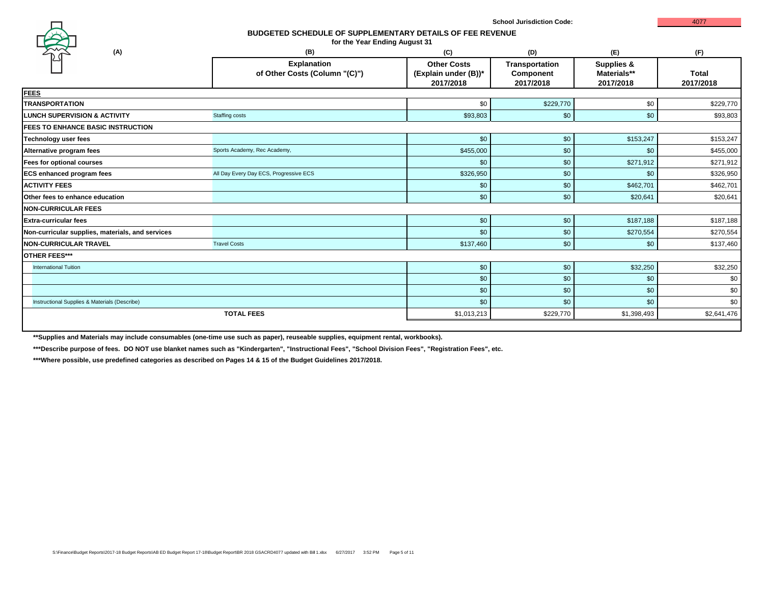| (B)                                                 | (C)                                                     | (D)                                                    | (E)                                               | (F)                       |
|-----------------------------------------------------|---------------------------------------------------------|--------------------------------------------------------|---------------------------------------------------|---------------------------|
| <b>Explanation</b><br>of Other Costs (Column "(C)") | <b>Other Costs</b><br>(Explain under (B))*<br>2017/2018 | <b>Transportation</b><br><b>Component</b><br>2017/2018 | <b>Supplies &amp;</b><br>Materials**<br>2017/2018 | <b>Total</b><br>2017/2018 |
|                                                     |                                                         |                                                        |                                                   |                           |
|                                                     | \$0                                                     | \$229,770                                              | \$0                                               | \$229,770                 |
| <b>Staffing costs</b>                               | \$93,803                                                | \$0                                                    | \$0                                               | \$93,803                  |
|                                                     |                                                         |                                                        |                                                   |                           |
|                                                     | \$0                                                     | \$0                                                    | \$153,247                                         | \$153,247                 |
| Sports Academy, Rec Academy,                        | \$455,000                                               | \$0                                                    | \$0                                               | \$455,000                 |
|                                                     | \$0                                                     | \$0                                                    | \$271,912                                         | \$271,912                 |
| All Day Every Day ECS, Progressive ECS              | \$326,950                                               | \$0                                                    | \$0                                               | \$326,950                 |
|                                                     | \$0                                                     | \$0                                                    | \$462,701                                         | \$462,701                 |
|                                                     | \$0                                                     | \$0                                                    | \$20,641                                          | \$20,641                  |
|                                                     |                                                         |                                                        |                                                   |                           |
|                                                     | \$0                                                     | \$0                                                    | \$187,188                                         | \$187,188                 |
|                                                     | \$0                                                     | \$0                                                    | \$270,554                                         | \$270,554                 |
| <b>Travel Costs</b>                                 | \$137,460                                               | \$0                                                    | \$0                                               | \$137,460                 |
|                                                     |                                                         |                                                        |                                                   |                           |
|                                                     | \$0                                                     | \$0                                                    | \$32,250                                          | \$32,250                  |
|                                                     | \$0                                                     | \$0                                                    | \$0                                               | \$0                       |
|                                                     | \$0                                                     | \$0                                                    | \$0                                               | \$0                       |
|                                                     | \$0                                                     | \$0                                                    | \$0                                               | \$0                       |
| <b>TOTAL FEES</b>                                   | \$1,013,213                                             | \$229,770                                              | \$1,398,493                                       | \$2,641,476               |
|                                                     |                                                         |                                                        |                                                   |                           |

**\*\*Supplies and Materials may include consumables (one-time use such as paper), reuseable supplies, equipment rental, workbooks).**

**\*\*\*Describe purpose of fees. DO NOT use blanket names such as "Kindergarten", "Instructional Fees", "School Division Fees", "Registration Fees", etc.**

**\*\*\*Where possible, use predefined categories as described on Pages 14 & 15 of the Budget Guidelines 2017/2018.**



## **BUDGETED SCHEDULE OF SUPPLEMENTARY DETAILS OF FEE REVENUE**

**for the Year Ending August 31**

|                                                                                           | (C)                                      |
|-------------------------------------------------------------------------------------------|------------------------------------------|
| ∶ion                                                                                      | <b>Other Costs</b>                       |
| $\blacksquare$ $\blacksquare$ $\blacksquare$ $\blacksquare$ $\blacksquare$ $\blacksquare$ | 700 - Julie Jacobson, Amerikaansk koning |

## **School Jurisdiction Code:** 4077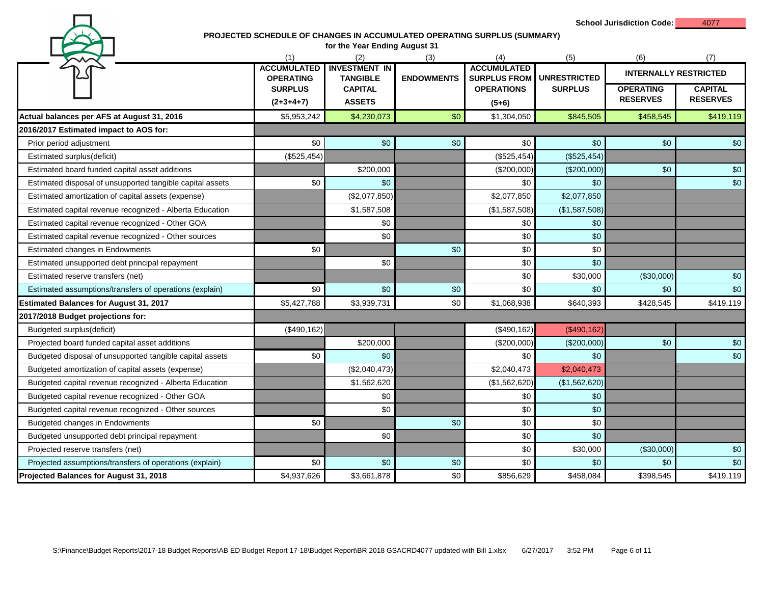**School Jurisdiction Code:** 4077

### **PROJECTED SCHEDULE OF CHANGES IN ACCUMULATED OPERATING SURPLUS (SUMMARY)**

| for the Year Ending August 31                             |                                                          |                                         |                   |                                           |                     |                                     |                                   |  |  |
|-----------------------------------------------------------|----------------------------------------------------------|-----------------------------------------|-------------------|-------------------------------------------|---------------------|-------------------------------------|-----------------------------------|--|--|
|                                                           | (1)                                                      | (2)                                     | (3)               | (4)                                       | (5)                 | (6)                                 | (7)                               |  |  |
|                                                           | <b>ACCUMULATED</b><br><b>OPERATING</b><br><b>SURPLUS</b> | <b>INVESTMENT IN</b><br><b>TANGIBLE</b> | <b>ENDOWMENTS</b> | <b>ACCUMULATED</b><br><b>SURPLUS FROM</b> | <b>UNRESTRICTED</b> | <b>INTERNALLY RESTRICTED</b>        |                                   |  |  |
|                                                           | $(2+3+4+7)$                                              | <b>CAPITAL</b><br><b>ASSETS</b>         |                   | <b>OPERATIONS</b>                         | <b>SURPLUS</b>      | <b>OPERATING</b><br><b>RESERVES</b> | <b>CAPITAL</b><br><b>RESERVES</b> |  |  |
|                                                           |                                                          |                                         |                   | $(5+6)$                                   |                     |                                     |                                   |  |  |
| Actual balances per AFS at August 31, 2016                | \$5,953,242                                              | \$4,230,073                             | \$0               | \$1,304,050                               | \$845,505           | \$458,545                           | \$419,119                         |  |  |
| 2016/2017 Estimated impact to AOS for:                    |                                                          |                                         |                   |                                           |                     |                                     |                                   |  |  |
| Prior period adjustment                                   | \$0                                                      | \$0                                     | \$0               | \$0                                       | \$0                 | \$0                                 | \$0                               |  |  |
| Estimated surplus(deficit)                                | (\$525,454)                                              |                                         |                   | (\$525,454)                               | (\$525,454)         |                                     |                                   |  |  |
| Estimated board funded capital asset additions            |                                                          | \$200,000                               |                   | (\$200,000)                               | (\$200,000)         | \$0                                 | \$0                               |  |  |
| Estimated disposal of unsupported tangible capital assets | \$0                                                      | \$0                                     |                   | \$0                                       | \$0                 |                                     | $$0$$                             |  |  |
| Estimated amortization of capital assets (expense)        |                                                          | (\$2,077,850)                           |                   | \$2,077,850                               | \$2,077,850         |                                     |                                   |  |  |
| Estimated capital revenue recognized - Alberta Education  |                                                          | \$1,587,508                             |                   | (\$1,587,508)                             | (\$1,587,508)       |                                     |                                   |  |  |
| Estimated capital revenue recognized - Other GOA          |                                                          | \$0                                     |                   | \$0                                       | \$0                 |                                     |                                   |  |  |
| Estimated capital revenue recognized - Other sources      |                                                          | \$0                                     |                   | \$0                                       | \$0                 |                                     |                                   |  |  |
| <b>Estimated changes in Endowments</b>                    | \$0                                                      |                                         | \$0               | \$0                                       | \$0                 |                                     |                                   |  |  |
| Estimated unsupported debt principal repayment            |                                                          | \$0                                     |                   | \$0                                       | \$0                 |                                     |                                   |  |  |
| Estimated reserve transfers (net)                         |                                                          |                                         |                   | \$0                                       | \$30,000            | (\$30,000)                          | \$0                               |  |  |
| Estimated assumptions/transfers of operations (explain)   | \$0                                                      | \$0                                     | \$0               | \$0                                       | \$0                 | \$0                                 | \$0                               |  |  |
| <b>Estimated Balances for August 31, 2017</b>             | \$5,427,788                                              | \$3,939,731                             | \$0               | \$1,068,938                               | \$640,393           | \$428,545                           | \$419,119                         |  |  |
| 2017/2018 Budget projections for:                         |                                                          |                                         |                   |                                           |                     |                                     |                                   |  |  |
| Budgeted surplus(deficit)                                 | (\$490, 162)                                             |                                         |                   | (\$490, 162)                              | (\$490,162)         |                                     |                                   |  |  |
| Projected board funded capital asset additions            |                                                          | \$200,000                               |                   | (\$200,000)                               | (\$200,000)         | \$0                                 | \$0                               |  |  |
| Budgeted disposal of unsupported tangible capital assets  | \$0                                                      | \$0                                     |                   | \$0                                       | \$0                 |                                     | \$0                               |  |  |
| Budgeted amortization of capital assets (expense)         |                                                          | (\$2,040,473)                           |                   | \$2,040,473                               | \$2,040,473         |                                     |                                   |  |  |
| Budgeted capital revenue recognized - Alberta Education   |                                                          | \$1,562,620                             |                   | (\$1,562,620)                             | (\$1,562,620)       |                                     |                                   |  |  |
| Budgeted capital revenue recognized - Other GOA           |                                                          | \$0                                     |                   | \$0                                       | \$0                 |                                     |                                   |  |  |
| Budgeted capital revenue recognized - Other sources       |                                                          | \$0                                     |                   | \$0                                       | \$0                 |                                     |                                   |  |  |
| Budgeted changes in Endowments                            | \$0                                                      |                                         | \$0               | \$0                                       | \$0                 |                                     |                                   |  |  |
| Budgeted unsupported debt principal repayment             |                                                          | \$0                                     |                   | \$0                                       | \$0                 |                                     |                                   |  |  |
| Projected reserve transfers (net)                         |                                                          |                                         |                   | \$0                                       | \$30,000            | (\$30,000)                          | \$0                               |  |  |
| Projected assumptions/transfers of operations (explain)   | \$0                                                      | \$0                                     | \$0               | \$0                                       | \$0                 | \$0                                 | \$0                               |  |  |
| Projected Balances for August 31, 2018                    | \$4,937,626                                              | \$3,661,878                             | \$0               | \$856,629                                 | \$458,084           | \$398,545                           | \$419,119                         |  |  |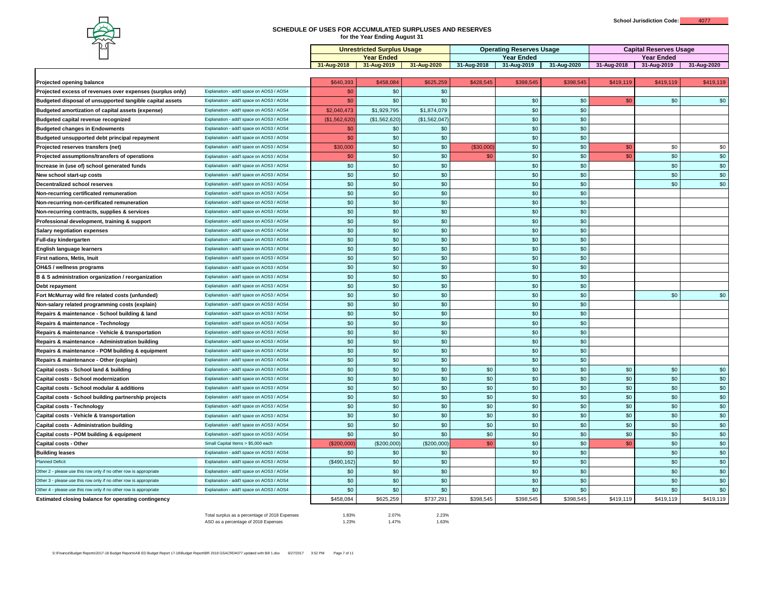| ▱                                                                 |                                          |                                   |                                  |                  |                                 |                                  |             |                               |                                  |             |
|-------------------------------------------------------------------|------------------------------------------|-----------------------------------|----------------------------------|------------------|---------------------------------|----------------------------------|-------------|-------------------------------|----------------------------------|-------------|
|                                                                   |                                          | <b>Unrestricted Surplus Usage</b> |                                  |                  | <b>Operating Reserves Usage</b> |                                  |             | <b>Capital Reserves Usage</b> |                                  |             |
|                                                                   |                                          | 31-Aug-2018                       | <b>Year Ended</b><br>31-Aug-2019 | 31-Aug-2020      | 31-Aug-2018                     | <b>Year Ended</b><br>31-Aug-2019 | 31-Aug-2020 | 31-Aug-2018                   | <b>Year Ended</b><br>31-Aug-2019 | 31-Aug-2020 |
|                                                                   |                                          |                                   |                                  |                  |                                 |                                  |             |                               |                                  |             |
| <b>Projected opening balance</b>                                  |                                          | \$640,393                         | \$458,084                        | \$625,259        | \$428,545                       | \$398,545                        | \$398,545   | \$419,119                     | \$419,119                        | \$419,119   |
| <b>Projected excess of revenues over expenses (surplus only)</b>  | Explanation - add'l space on AOS3 / AOS4 | \$0                               | \$0                              | \$0              |                                 |                                  |             |                               |                                  |             |
| Budgeted disposal of unsupported tangible capital assets          | Explanation - add'l space on AOS3 / AOS4 | \$0                               | \$0                              | \$0              |                                 | \$0                              | \$0         | \$0                           | \$0                              | \$0         |
| Budgeted amortization of capital assets (expense)                 | Explanation - add'l space on AOS3 / AOS4 | \$2,040,473                       | \$1,929,795                      | \$1,874,079      |                                 | \$0                              | \$0         |                               |                                  |             |
| <b>Budgeted capital revenue recognized</b>                        | Explanation - add'l space on AOS3 / AOS4 | (\$1,562,620                      | (\$1,562,620)                    | (\$1,562,047)    |                                 | \$0                              | \$0         |                               |                                  |             |
| <b>Budgeted changes in Endowments</b>                             | Explanation - add'l space on AOS3 / AOS4 | \$0                               | \$0                              | \$0              |                                 | \$0                              | \$0         |                               |                                  |             |
| Budgeted unsupported debt principal repayment                     | Explanation - add'l space on AOS3 / AOS4 | \$0                               | \$0                              | \$0              |                                 | \$0                              | \$0         |                               |                                  |             |
| <b>Projected reserves transfers (net)</b>                         | Explanation - add'l space on AOS3 / AOS4 | \$30,000                          | \$0                              | \$0              | (\$30,000)                      | \$0                              | \$0         | \$0                           | \$0                              | \$0         |
| <b>Projected assumptions/transfers of operations</b>              | Explanation - add'l space on AOS3 / AOS4 | \$0                               | \$0                              | \$0              | \$0                             | \$0                              | \$0         | \$0                           | \$0                              | \$0         |
| Increase in (use of) school generated funds                       | Explanation - add'l space on AOS3 / AOS4 | \$0                               | \$0                              | \$0              |                                 | \$0                              | \$0         |                               | \$0                              | \$0         |
| New school start-up costs                                         | Explanation - add'l space on AOS3 / AOS4 | \$0                               | \$0                              | \$0              |                                 | \$0                              | \$0         |                               | \$0                              | \$0         |
| Decentralized school reserves                                     | Explanation - add'l space on AOS3 / AOS4 | \$0                               | \$0                              | \$0              |                                 | \$0                              | \$0         |                               | \$0                              | \$0         |
| Non-recurring certificated remuneration                           | Explanation - add'l space on AOS3 / AOS4 | \$0                               | \$0                              | \$0              |                                 | \$0                              | \$0         |                               |                                  |             |
| Non-recurring non-certificated remuneration                       | Explanation - add'l space on AOS3 / AOS4 | \$0                               | \$0                              | \$0              |                                 | \$0                              | \$0         |                               |                                  |             |
| Non-recurring contracts, supplies & services                      | Explanation - add'l space on AOS3 / AOS4 | \$0                               | \$0                              | \$0              |                                 | \$0                              | \$0         |                               |                                  |             |
| Professional development, training & support                      | Explanation - add'l space on AOS3 / AOS4 | \$0                               | \$0                              | \$0              |                                 | \$0                              | \$0         |                               |                                  |             |
| <b>Salary negotiation expenses</b>                                | Explanation - add'l space on AOS3 / AOS4 | \$0                               | \$0                              | \$0              |                                 | \$0                              | \$0         |                               |                                  |             |
| <b>Full-day kindergarten</b>                                      | Explanation - add'l space on AOS3 / AOS4 | \$0 <sub>1</sub>                  | \$0                              | \$0 <sub>1</sub> |                                 | \$0                              | \$0         |                               |                                  |             |
| <b>English language learners</b>                                  | Explanation - add'l space on AOS3 / AOS4 | \$0                               | \$0                              | \$0              |                                 | \$0                              | \$0         |                               |                                  |             |
| <b>First nations, Metis, Inuit</b>                                | Explanation - add'l space on AOS3 / AOS4 | \$0                               | \$0                              | \$0              |                                 | \$0                              | \$0         |                               |                                  |             |
| <b>OH&amp;S</b> / wellness programs                               | Explanation - add'l space on AOS3 / AOS4 | \$0                               | \$0                              | \$0              |                                 | \$0                              | \$0         |                               |                                  |             |
| B & S administration organization / reorganization                | Explanation - add'l space on AOS3 / AOS4 | \$0\$                             | \$0                              | \$0              |                                 | \$0                              | \$0         |                               |                                  |             |
| Debt repayment                                                    | Explanation - add'l space on AOS3 / AOS4 | \$0                               | \$0                              | \$0              |                                 | \$0                              | \$0         |                               |                                  |             |
| <b>Fort McMurray wild fire related costs (unfunded)</b>           | Explanation - add'l space on AOS3 / AOS4 | \$0                               | \$0                              | \$0              |                                 | \$0                              | \$0         |                               | \$0                              | \$0         |
| <b>Non-salary related programming costs (explain)</b>             | Explanation - add'l space on AOS3 / AOS4 | \$0                               | \$0                              | \$0              |                                 | \$0                              | \$0         |                               |                                  |             |
| Repairs & maintenance - School building & land                    | Explanation - add'l space on AOS3 / AOS4 | \$0                               | \$0                              | \$0              |                                 | \$0                              | \$0         |                               |                                  |             |
| Repairs & maintenance - Technology                                | Explanation - add'l space on AOS3 / AOS4 | \$0                               | \$0                              | \$0              |                                 | \$0                              | \$0         |                               |                                  |             |
| Repairs & maintenance - Vehicle & transportation                  | Explanation - add'l space on AOS3 / AOS4 | \$0                               | \$0                              | \$0              |                                 | \$0                              | \$0         |                               |                                  |             |
| Repairs & maintenance - Administration building                   | Explanation - add'l space on AOS3 / AOS4 | \$0                               | \$0                              | \$0              |                                 | \$0                              | \$0         |                               |                                  |             |
| Repairs & maintenance - POM building & equipment                  | Explanation - add'l space on AOS3 / AOS4 | \$0                               | \$0                              | \$0              |                                 | \$0                              | \$0         |                               |                                  |             |
| Repairs & maintenance - Other (explain)                           | Explanation - add'l space on AOS3 / AOS4 | \$0                               | \$0                              | \$0              |                                 | \$0                              | \$0         |                               |                                  |             |
| <b>Capital costs - School land &amp; building</b>                 | Explanation - add'l space on AOS3 / AOS4 | \$0                               | \$0                              | \$0              | \$0                             | \$0                              | \$0         | \$0                           | \$0                              | \$0         |
| <b>Capital costs - School modernization</b>                       | Explanation - add'l space on AOS3 / AOS4 | \$0\$                             | \$0                              | \$0              | \$0                             | \$0                              | \$0         | \$0                           | \$0                              | \$0         |
| <b>Capital costs - School modular &amp; additions</b>             | Explanation - add'l space on AOS3 / AOS4 | \$0                               | \$0                              | \$0              | \$0                             | \$0                              | \$0         | \$0                           | \$0                              | \$0         |
| Capital costs - School building partnership projects              | Explanation - add'l space on AOS3 / AOS4 | \$0                               | \$0                              | \$0              | \$0                             | \$0                              | \$0         | \$0                           | \$0                              | \$0         |
| <b>Capital costs - Technology</b>                                 | Explanation - add'l space on AOS3 / AOS4 | \$0                               | \$0                              | \$0              | \$0                             | \$0                              | \$0         | \$0                           | \$0                              | \$0         |
| <b>Capital costs - Vehicle &amp; transportation</b>               | Explanation - add'l space on AOS3 / AOS4 | \$0\$                             | \$0                              | \$0              | \$0                             | \$0                              | \$0         | \$0                           | \$0                              | \$0         |
| <b>Capital costs - Administration building</b>                    | Explanation - add'l space on AOS3 / AOS4 | \$0                               | \$0                              | \$0              | \$0                             | \$0                              | \$0         | \$0                           | \$0                              | \$0         |
| <b>Capital costs - POM building &amp; equipment</b>               | Explanation - add'l space on AOS3 / AOS4 | \$0                               | \$0                              | \$0              | \$0                             | \$0                              | \$0         | \$0                           | \$0                              | \$0         |
| <b>Capital costs - Other</b>                                      | Small Capital Items > \$5,000 each       | (\$200,000)                       | (\$200,000)                      | (\$200,000)      | \$0                             | \$0                              | \$0         | \$0                           | \$0                              | \$0         |
| <b>Building leases</b>                                            | Explanation - add'l space on AOS3 / AOS4 | \$0                               | \$0                              | \$0              |                                 | \$0                              | \$0         |                               | \$0                              | \$0         |
| <b>Planned Deficit</b>                                            | Explanation - add'l space on AOS3 / AOS4 | (\$490, 162)                      | \$0                              | \$0              |                                 | \$0                              | \$0         |                               | \$0                              | \$0         |
| Other 2 - please use this row only if no other row is appropriate | Explanation - add'l space on AOS3 / AOS4 | \$0                               | \$0                              | \$0              |                                 | \$0                              | \$0         |                               | \$0                              | \$0         |
| Other 3 - please use this row only if no other row is appropriate | Explanation - add'l space on AOS3 / AOS4 | \$0                               | \$0                              | \$0              |                                 | \$0                              | \$0         |                               | \$0                              | \$0         |
| Other 4 - please use this row only if no other row is appropriate | Explanation - add'l space on AOS3 / AOS4 | \$0                               | \$0                              | \$0              |                                 | \$0                              | \$0         |                               | \$0                              | \$0         |
| <b>Estimated closing balance for operating contingency</b>        |                                          | \$458,084                         | \$625,259                        | \$737,291        | \$398,545                       | \$398,545                        | \$398,545   | \$419,119                     | \$419,119                        | \$419,119   |
|                                                                   |                                          |                                   |                                  |                  |                                 |                                  |             |                               |                                  |             |

Total surplus as a percentage of 2018 Expenses 1.83% 1.83% 2.07% 2.23% ASO as a percentage of 2018 Expenses 1.23% 1.23% 1.47% 1.47% 1.63%

| <b>Unrestricted Surplus Usage</b> |                   |               | <b>Operating Reserves Usage</b> |                   |             | <b>Capital Reserves Usage</b> |                   |                                 |
|-----------------------------------|-------------------|---------------|---------------------------------|-------------------|-------------|-------------------------------|-------------------|---------------------------------|
|                                   | <b>Year Ended</b> |               |                                 | <b>Year Ended</b> |             |                               | <b>Year Ended</b> |                                 |
| 31-Aug-2018                       | 31-Aug-2019       | 31-Aug-2020   | 31-Aug-2018                     | 31-Aug-2019       | 31-Aug-2020 | 31-Aug-2018                   | 31-Aug-2019       | 31-Aug-2020                     |
|                                   |                   |               |                                 |                   |             |                               |                   |                                 |
| \$640,393                         | \$458,084         | \$625,259     | \$428,545                       | \$398,545         | \$398,545   | \$419,119                     | \$419,119         | \$419,119                       |
| \$0                               | \$0               | \$0           |                                 |                   |             |                               |                   |                                 |
| \$0                               | \$0               | \$0           |                                 | \$0               | \$0         | \$0                           | \$0               | \$0                             |
| \$2,040,473                       | \$1,929,795       | \$1,874,079   |                                 | \$0               | \$0         |                               |                   |                                 |
| (\$1,562,620)                     | (\$1,562,620)     | (\$1,562,047) |                                 | \$0               | \$0         |                               |                   |                                 |
| \$0                               | \$0               | \$0           |                                 | \$0               | \$0         |                               |                   |                                 |
| \$0                               | \$0               | \$0           |                                 | \$0               | \$0         |                               |                   |                                 |
| \$30,000                          | \$0               | \$0           | (\$30,000)                      | \$0               | \$0         | \$0                           | \$0               | $$0$$                           |
| \$0                               | \$0               | \$0           | \$0                             | \$0               | \$0         | \$0                           | \$0               | \$0                             |
| \$0                               | \$0               | \$0           |                                 | \$0               | \$0         |                               | \$0               | $$0$                            |
| \$0                               | \$0               | \$0           |                                 | \$0               | \$0         |                               | \$0               | \$0                             |
| \$0                               | \$0               | \$0           |                                 | \$0               | \$0         |                               | \$0               | \$0                             |
| \$0                               | \$0               | \$0           |                                 | \$0               | \$0         |                               |                   |                                 |
| \$0                               | \$0               | \$0           |                                 | \$0               | \$0         |                               |                   |                                 |
| \$0                               | \$0               | \$0           |                                 | \$0               | \$0         |                               |                   |                                 |
| \$0                               | \$0               | \$0           |                                 | \$0               | \$0         |                               |                   |                                 |
| \$0                               | \$0               | \$0           |                                 | \$0               | \$0         |                               |                   |                                 |
| \$0                               | \$0               | \$0           |                                 | \$0               | \$0         |                               |                   |                                 |
| $$0$$                             | \$0               | \$0           |                                 | \$0               | \$0         |                               |                   |                                 |
| \$0                               | \$0               | \$0           |                                 | \$0               | \$0         |                               |                   |                                 |
| \$0                               | \$0               | \$0           |                                 | \$0               | \$0         |                               |                   |                                 |
| \$0                               | \$0               | \$0           |                                 | \$0               | \$0         |                               |                   |                                 |
| \$0                               | \$0               | \$0           |                                 | \$0               | \$0         |                               |                   |                                 |
| \$0                               | \$0               | \$0           |                                 | \$0               | \$0         |                               | \$0               | $$0$$                           |
| \$0                               | \$0               | \$0           |                                 | \$0               | \$0         |                               |                   |                                 |
| \$0                               | \$0               | \$0           |                                 | \$0               | \$0         |                               |                   |                                 |
| \$0                               | \$0               | \$0           |                                 | \$0               | \$0         |                               |                   |                                 |
| \$0                               | \$0               | \$0           |                                 | \$0               | \$0         |                               |                   |                                 |
| \$0                               | \$0               | \$0           |                                 | \$0               | \$0         |                               |                   |                                 |
| \$0                               | \$0               | \$0           |                                 | \$0               | \$0         |                               |                   |                                 |
| \$0                               | \$0               | \$0           |                                 | \$0               | \$0         |                               |                   |                                 |
| \$0                               | \$0               | \$0           | \$0                             | \$0               | \$0         | \$0                           | \$0               | $$0$$                           |
| \$0                               | \$0               | \$0           | \$0                             | \$0               | \$0         | \$0                           | \$0               | $\$0$                           |
| \$0                               | \$0               | \$0           | \$0                             | \$0               | \$0         | \$0                           | \$0               | $$0$$                           |
| \$0                               | \$0               | \$0           | \$0                             | \$0               | \$0         | \$0                           | \$0               | $$0\,$                          |
| \$0                               | \$0               | \$0           | \$0                             | \$0               | \$0         | \$0                           | \$0               | $\$0$                           |
| \$0                               | \$0               | \$0           | \$0                             | \$0               | \$0         | \$0                           | \$0               | $\$0$                           |
| \$0                               | \$0               | $$0$$         | $$0$                            | \$0               | \$0         | \$0                           | \$0               | $\$0$                           |
| \$0                               | \$0               | \$0           | $$0$                            | \$0               | \$0         | \$0                           | \$0               | $\$0$                           |
| (\$200,000)                       | (\$200,000)       | $(\$200,000)$ | \$0                             | \$0               | \$0         | \$0                           | \$0               | \$0                             |
| \$0                               | \$0               | \$0           |                                 | \$0               | \$0         |                               | \$0               | $$0$$                           |
| (\$490,162)                       | \$0               | \$0           |                                 | $$0$$             | \$0         |                               | \$0               | $$0$$                           |
| \$0                               | \$0               | \$0           |                                 | \$0               | \$0         |                               | \$0               | $$0$$                           |
| \$0                               | \$0               | \$0           |                                 | \$0               | \$0         |                               | \$0               | $$0$$                           |
| \$0                               | \$0               | \$0           |                                 | \$0               | \$0         |                               | \$0               | \$0                             |
| QABQDBA                           |                   | \$727.201     | Q308515                         | Q308515           | QQQQEAE     | $Q$ $A$ $A$ $Q$ $A$ $A$ $Q$   | 0.110, 110        | $Q$ $A$ $A$ $A$ $A$ $A$ $A$ $A$ |

# **SCHEDULE OF USES FOR ACCUMULATED SURPLUSES AND RESERVES**

**for the Year Ending August 31**

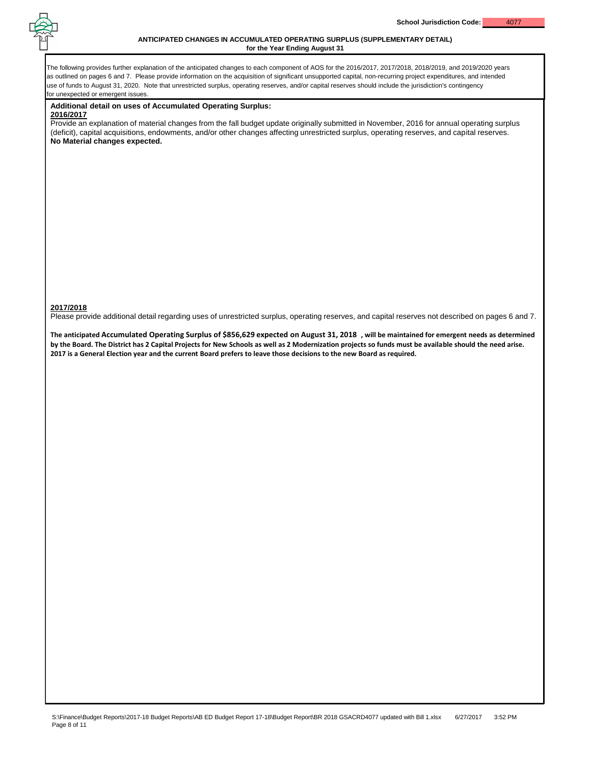

### **ANTICIPATED CHANGES IN ACCUMULATED OPERATING SURPLUS (SUPPLEMENTARY DETAIL) for the Year Ending August 31**

The following provides further explanation of the anticipated changes to each component of AOS for the 2016/2017, 2017/2018, 2018/2019, and 2019/2020 years as outlined on pages 6 and 7. Please provide information on the acquisition of significant unsupported capital, non-recurring project expenditures, and intended use of funds to August 31, 2020. Note that unrestricted surplus, operating reserves, and/or capital reserves should include the jurisdiction's contingency for unexpected or emergent issues.

### **Additional detail on uses of Accumulated Operating Surplus:**

### **2016/2017**

Provide an explanation of material changes from the fall budget update originally submitted in November, 2016 for annual operating surplus (deficit), capital acquisitions, endowments, and/or other changes affecting unrestricted surplus, operating reserves, and capital reserves. **No Material changes expected.**

### **2017/2018**

Please provide additional detail regarding uses of unrestricted surplus, operating reserves, and capital reserves not described on pages 6 and 7.

**The anticipated Accumulated Operating Surplus of \$856,629 expected on August 31, 2018 , will be maintained for emergent needs as determined by the Board. The District has 2 Capital Projects for New Schools as well as 2 Modernization projects so funds must be available should the need arise. 2017 is a General Election year and the current Board prefers to leave those decisions to the new Board as required.**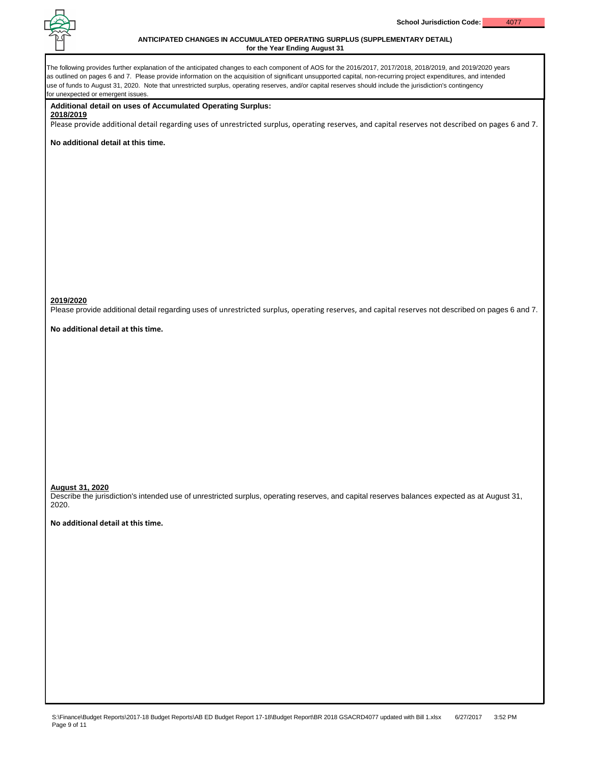

### **ANTICIPATED CHANGES IN ACCUMULATED OPERATING SURPLUS (SUPPLEMENTARY DETAIL) for the Year Ending August 31**

The following provides further explanation of the anticipated changes to each component of AOS for the 2016/2017, 2017/2018, 2018/2019, and 2019/2020 years as outlined on pages 6 and 7. Please provide information on the acquisition of significant unsupported capital, non-recurring project expenditures, and intended use of funds to August 31, 2020. Note that unrestricted surplus, operating reserves, and/or capital reserves should include the jurisdiction's contingency for unexpected or emergent issues. **Additional detail on uses of Accumulated Operating Surplus: 2018/2019** Please provide additional detail regarding uses of unrestricted surplus, operating reserves, and capital reserves not described on pages 6 and 7. **No additional detail at this time. 2019/2020** Please provide additional detail regarding uses of unrestricted surplus, operating reserves, and capital reserves not described on pages 6 and 7. **No additional detail at this time. August 31, 2020** Describe the jurisdiction's intended use of unrestricted surplus, operating reserves, and capital reserves balances expected as at August 31, 2020. **No additional detail at this time.**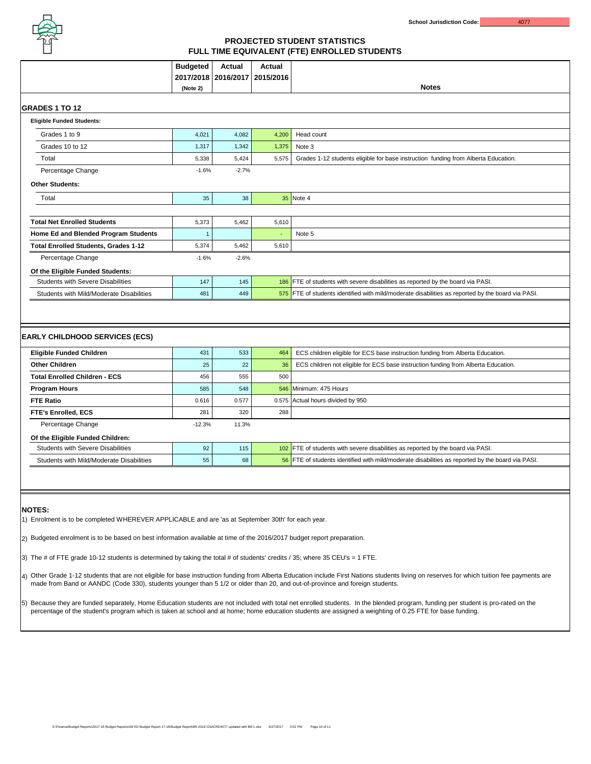

|                                                                                                                                                                                                                                                                                                                                                          | <b>Budgeted</b> | <b>Actual</b><br>2017/2018   2016/2017   2015/2016 | <b>Actual</b> | <b>Notes</b>                                                                                      |  |  |  |  |  |
|----------------------------------------------------------------------------------------------------------------------------------------------------------------------------------------------------------------------------------------------------------------------------------------------------------------------------------------------------------|-----------------|----------------------------------------------------|---------------|---------------------------------------------------------------------------------------------------|--|--|--|--|--|
|                                                                                                                                                                                                                                                                                                                                                          | (Note 2)        |                                                    |               |                                                                                                   |  |  |  |  |  |
| <b>IGRADES 1 TO 12</b>                                                                                                                                                                                                                                                                                                                                   |                 |                                                    |               |                                                                                                   |  |  |  |  |  |
| <b>Eligible Funded Students:</b>                                                                                                                                                                                                                                                                                                                         |                 |                                                    |               |                                                                                                   |  |  |  |  |  |
| Grades 1 to 9                                                                                                                                                                                                                                                                                                                                            | 4,021           | 4,082                                              | 4,200         | Head count                                                                                        |  |  |  |  |  |
| Grades 10 to 12                                                                                                                                                                                                                                                                                                                                          | 1,317           | 1,342                                              | 1,375         | Note 3                                                                                            |  |  |  |  |  |
| <b>Total</b>                                                                                                                                                                                                                                                                                                                                             | 5,338           | 5,424                                              | 5,575         | Grades 1-12 students eligible for base instruction funding from Alberta Education.                |  |  |  |  |  |
| <b>Percentage Change</b>                                                                                                                                                                                                                                                                                                                                 | $-1.6%$         | $-2.7%$                                            |               |                                                                                                   |  |  |  |  |  |
| <b>Other Students:</b>                                                                                                                                                                                                                                                                                                                                   |                 |                                                    |               |                                                                                                   |  |  |  |  |  |
| Total                                                                                                                                                                                                                                                                                                                                                    | 35              | 38                                                 |               | 35 Note 4                                                                                         |  |  |  |  |  |
| <b>Total Net Enrolled Students</b>                                                                                                                                                                                                                                                                                                                       | 5,373           | 5,462                                              | 5,610         |                                                                                                   |  |  |  |  |  |
| <b>Home Ed and Blended Program Students</b>                                                                                                                                                                                                                                                                                                              |                 |                                                    | $\sim$        | Note 5                                                                                            |  |  |  |  |  |
| <b>Total Enrolled Students, Grades 1-12</b>                                                                                                                                                                                                                                                                                                              | 5,374           | 5,462                                              | 5,610         |                                                                                                   |  |  |  |  |  |
| <b>Percentage Change</b>                                                                                                                                                                                                                                                                                                                                 | $-1.6%$         | $-2.6%$                                            |               |                                                                                                   |  |  |  |  |  |
| Of the Eligible Funded Students:                                                                                                                                                                                                                                                                                                                         |                 |                                                    |               |                                                                                                   |  |  |  |  |  |
| <b>Students with Severe Disabilities</b>                                                                                                                                                                                                                                                                                                                 | 147             | 145                                                |               | 186 FTE of students with severe disabilities as reported by the board via PASI.                   |  |  |  |  |  |
| <b>Students with Mild/Moderate Disabilities</b>                                                                                                                                                                                                                                                                                                          | 481             | 449                                                |               | 575 FTE of students identified with mild/moderate disabilities as reported by the board via PASI. |  |  |  |  |  |
| <b>EARLY CHILDHOOD SERVICES (ECS)</b><br><b>Eligible Funded Children</b>                                                                                                                                                                                                                                                                                 | 431             | 533                                                | 464           | ECS children eligible for ECS base instruction funding from Alberta Education.                    |  |  |  |  |  |
| <b>Other Children</b>                                                                                                                                                                                                                                                                                                                                    | 25              | 22                                                 | 36            | ECS children not eligible for ECS base instruction funding from Alberta Education.                |  |  |  |  |  |
| <b>Total Enrolled Children - ECS</b>                                                                                                                                                                                                                                                                                                                     | 456             | 555                                                | 500           |                                                                                                   |  |  |  |  |  |
| <b>Program Hours</b>                                                                                                                                                                                                                                                                                                                                     | 585             | 548                                                |               | 546 Minimum: 475 Hours                                                                            |  |  |  |  |  |
| <b>FTE Ratio</b>                                                                                                                                                                                                                                                                                                                                         | 0.616           | 0.577                                              |               | 0.575 Actual hours divided by 950                                                                 |  |  |  |  |  |
| <b>FTE's Enrolled, ECS</b>                                                                                                                                                                                                                                                                                                                               | 281             | 320                                                | 288           |                                                                                                   |  |  |  |  |  |
| <b>Percentage Change</b>                                                                                                                                                                                                                                                                                                                                 | $-12.3%$        | 11.3%                                              |               |                                                                                                   |  |  |  |  |  |
| Of the Eligible Funded Children:                                                                                                                                                                                                                                                                                                                         |                 |                                                    |               |                                                                                                   |  |  |  |  |  |
| <b>Students with Severe Disabilities</b>                                                                                                                                                                                                                                                                                                                 | 92              | 115                                                |               | 102 FTE of students with severe disabilities as reported by the board via PASI.                   |  |  |  |  |  |
| <b>Students with Mild/Moderate Disabilities</b>                                                                                                                                                                                                                                                                                                          | 55              | 68                                                 |               | 56 FTE of students identified with mild/moderate disabilities as reported by the board via PASI.  |  |  |  |  |  |
|                                                                                                                                                                                                                                                                                                                                                          |                 |                                                    |               |                                                                                                   |  |  |  |  |  |
| <b>NOTES:</b><br>Enrolment is to be completed WHEREVER APPLICABLE and are 'as at September 30th' for each year.                                                                                                                                                                                                                                          |                 |                                                    |               |                                                                                                   |  |  |  |  |  |
| [2) Budgeted enrolment is to be based on best information available at time of the 2016/2017 budget report preparation.                                                                                                                                                                                                                                  |                 |                                                    |               |                                                                                                   |  |  |  |  |  |
| (3) The # of FTE grade 10-12 students is determined by taking the total # of students' credits / 35; where 35 CEU's = 1 FTE.                                                                                                                                                                                                                             |                 |                                                    |               |                                                                                                   |  |  |  |  |  |
| Other Grade 1-12 students that are not eligible for base instruction funding from Alberta Education include First Nations students living on reserves for which tuition fee payments are<br>$ 4\rangle$<br>made from Band or AANDC (Code 330), students younger than 5 1/2 or older than 20, and out-of-province and foreign students.                   |                 |                                                    |               |                                                                                                   |  |  |  |  |  |
| Because they are funded separately, Home Education students are not included with total net enrolled students. In the blended program, funding per student is pro-rated on the<br>$\vert 5)$<br>percentage of the student's program which is taken at school and at home; home education students are assigned a weighting of 0.25 FTE for base funding. |                 |                                                    |               |                                                                                                   |  |  |  |  |  |

# **PROJECTED STUDENT STATISTICS FULL TIME EQUIVALENT (FTE) ENROLLED STUDENTS**